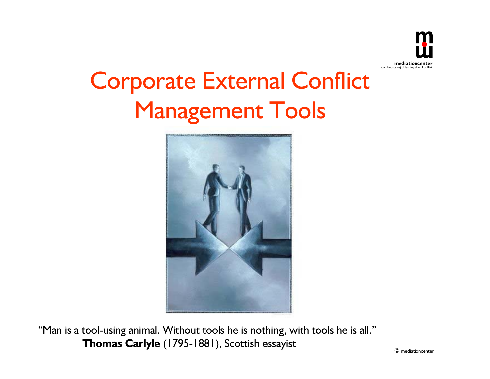

# Corporate External Conflict Management Tools



"Man is a tool-using animal. Without tools he is nothing, with tools he is all." **Thomas Carlyle** (1795-1881), Scottish essayist

© mediationcenter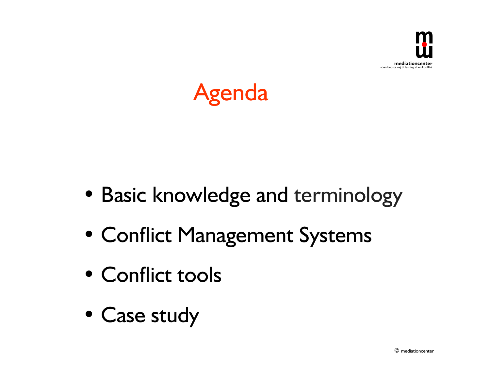



- Basic knowledge and terminology
- Conflict Management Systems
- Conflict tools
- Case study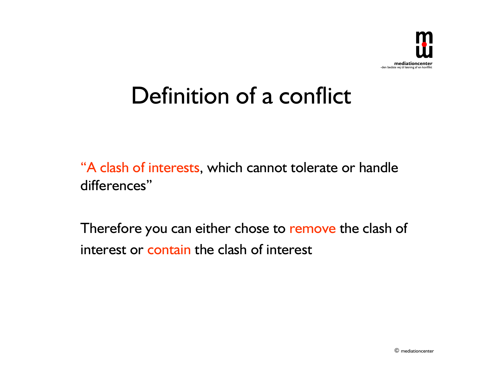

## Definition of a conflict

"A clash of interests, which cannot tolerate or handle differences"

Therefore you can either chose to remove the clash of interest or contain the clash of interest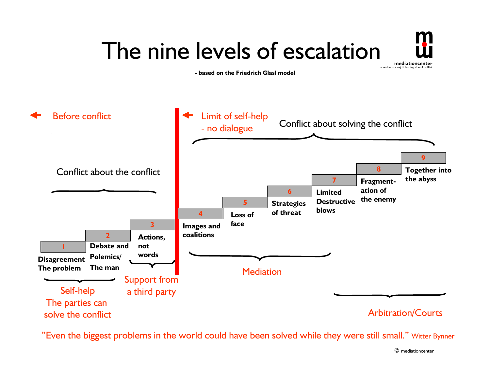#### -den bedste vej til løsning af en konflikt  **mediationcenter** The nine levels of escalation **- based on the Friedrich Glasl model**



"Even the biggest problems in the world could have been solved while they were still small." Witter Bynner

© mediationcenter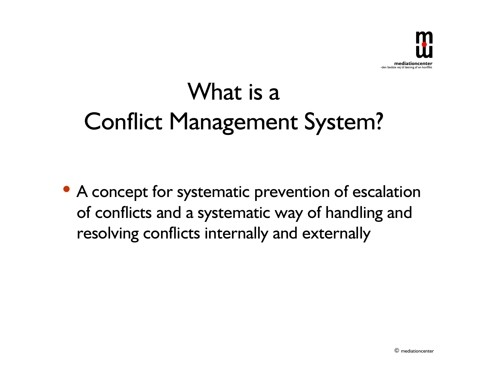

## What is a Conflict Management System?

• A concept for systematic prevention of escalation of conflicts and a systematic way of handling and resolving conflicts internally and externally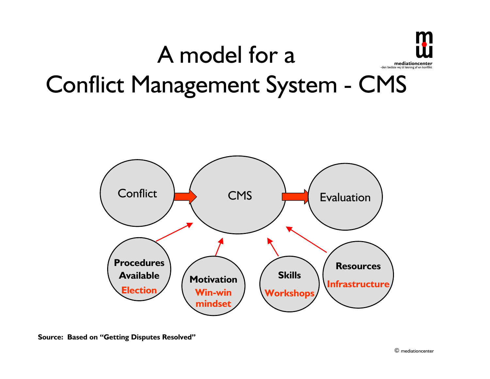



**Source: Based on "Getting Disputes Resolved"**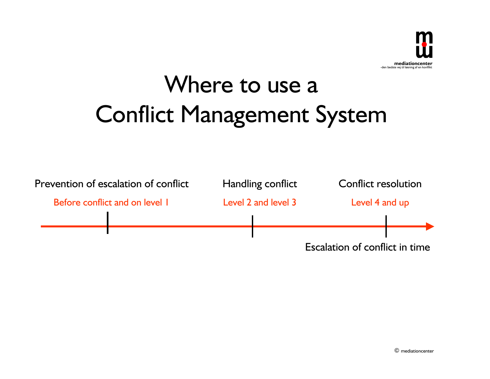

## Where to use a Conflict Management System

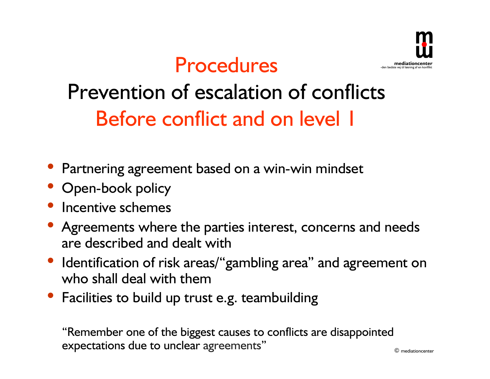



## Prevention of escalation of conflicts Before conflict and on level 1

- Partnering agreement based on a win-win mindset
- Open-book policy
- Incentive schemes
- Agreements where the parties interest, concerns and needs are described and dealt with
- Identification of risk areas/"gambling area" and agreement on who shall deal with them
- Facilities to build up trust e.g. teambuilding

"Remember one of the biggest causes to conflicts are disappointed expectations due to unclear agreements"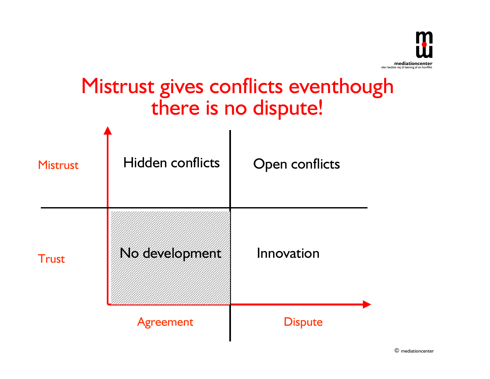

### Mistrust gives conflicts eventhough there is no dispute!



© mediationcenter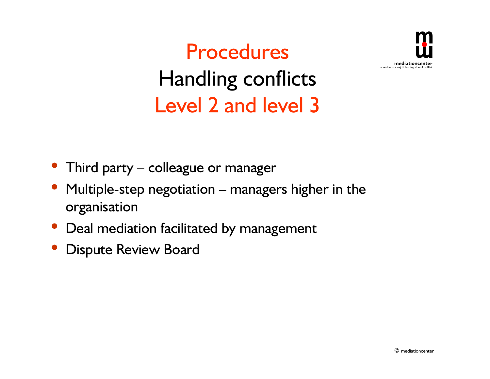

Procedures Handling conflicts Level 2 and level 3

- Third party  $-$  colleague or manager
- Multiple-step negotiation  $-$  managers higher in the organisation
- Deal mediation facilitated by management
- Dispute Review Board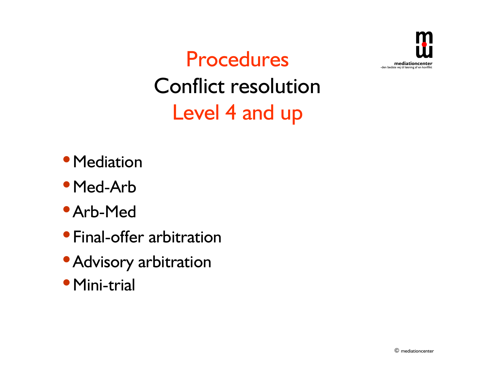

Procedures Conflict resolution Level 4 and up

- Mediation
- Med-Arb
- Arb-Med
- **Final-offer arbitration**
- Advisory arbitration
- Mini-trial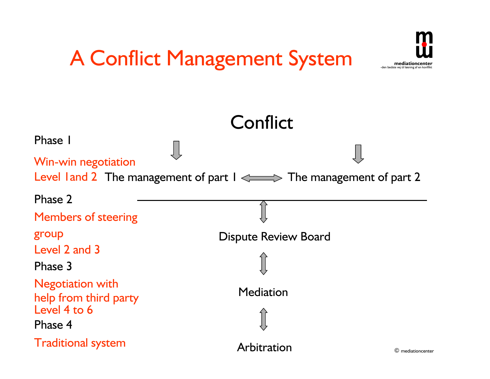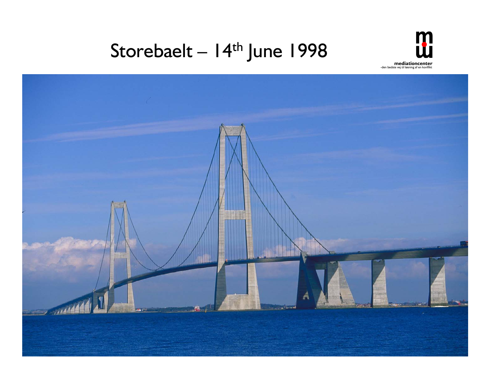### Storebaelt - 14<sup>th</sup> June 1998



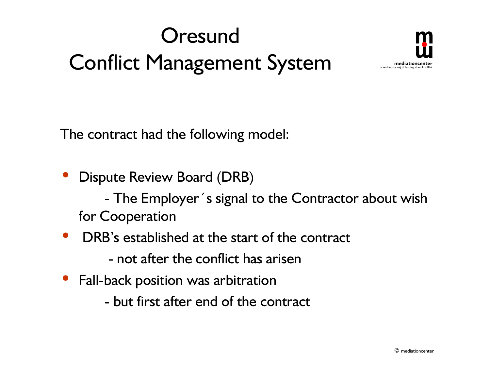



The contract had the following model:

- Dispute Review Board (DRB) - The Employer´s signal to the Contractor about wish for Cooperation
- DRB's established at the start of the contract
	- not after the conflict has arisen
- Fall-back position was arbitration
	- but first after end of the contract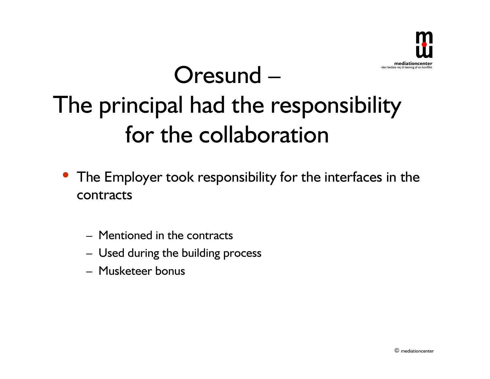

# $O$ resund  $-$ The principal had the responsibility for the collaboration

- The Employer took responsibility for the interfaces in the contracts
	- Mentioned in the contracts
	- Used during the building process
	- $-$  Musketeer bonus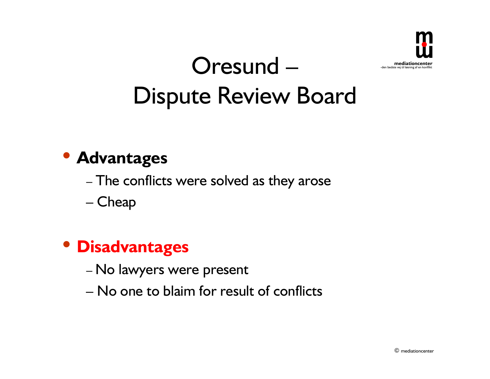

## Oresund -Dispute Review Board

### **• Advantages**

- The conflicts were solved as they arose

- Cheap

### **• Disadvantages**

- No lawyers were present
- $-$  No one to blaim for result of conflicts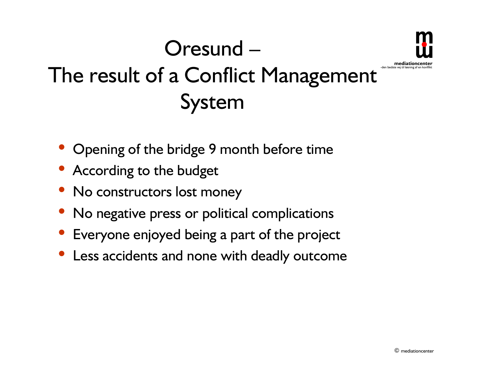### -den bedste vei til løsning af en Oresund -The result of a Conflict Management System

- **Opening of the bridge 9 month before time**
- According to the budget
- No constructors lost money
- No negative press or political complications
- Everyone enjoyed being a part of the project
- Less accidents and none with deadly outcome

**mediationce**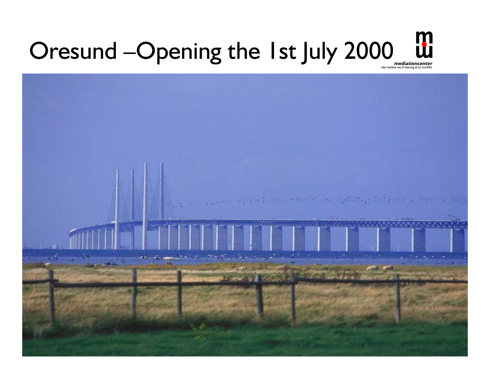#### **mediationcenter**<br>den bedste vej til løsning af en konflikt Oresund -Opening the 1st July 2000

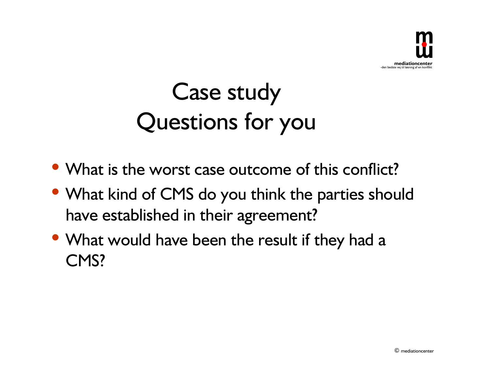

# Case study Questions for you

- What is the worst case outcome of this conflict?
- What kind of CMS do you think the parties should have established in their agreement?
- What would have been the result if they had a CMS?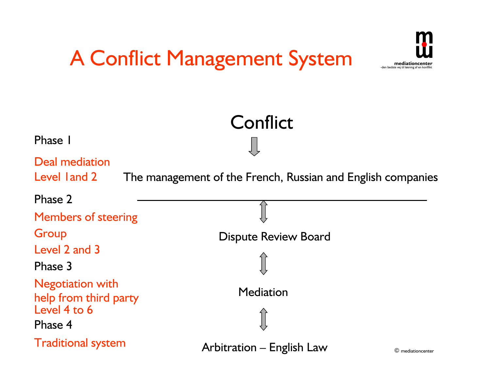